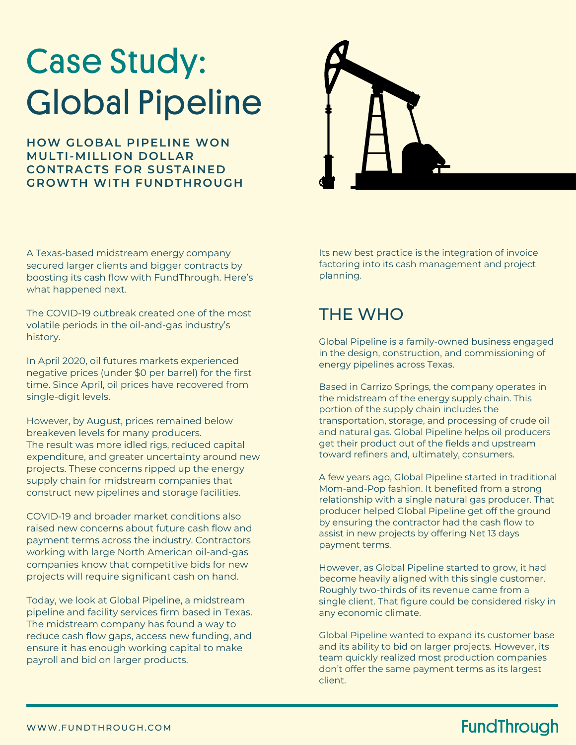# Case Study: Global Pipeline

**HOW GLOBAL PIPELINE WON MULTI-MILLION DOLLAR CONTRACTS FOR SUSTAINED GROWTH WITH FUNDTHROUGH**



A Texas-based midstream energy company secured larger clients and bigger contracts by [boosting its cash flow](http://www.fundthrough.com/blog/working-capital/seven-foolproof-ways-to-boost-your-cash-flow/) with FundThrough. Here's what happened next.

The COVID-19 outbreak created one of the most volatile periods in the [oil-and-gas industry'](http://www.fundthrough.com/blog/working-capital/covid-19-funding-report-oil-and-gas-companies/)s history.

In April 2020, oil futures markets experienced negative prices (under \$0 per barrel) for the first time. Since April, oil prices have recovered from single-digit levels.

However, by August, prices remained below breakeven levels for many producers. The result was more idled rigs, reduced capital expenditure, and greater uncertainty around new projects. These concerns ripped up the energy supply chain for midstream companies that construct new pipelines and storage facilities.

COVID-19 and broader market conditions also raised new concerns about future cash flow and payment terms across the industry. Contractors working with large North American oil-and-gas companies know that competitive bids for new projects will require significant cash on hand.

Today, we look at Global Pipeline, a midstream pipeline and facility services firm based in Texas. The midstream company has found a way to reduce cash flow gaps, access new funding, and ensure it has enough working capital to make payroll and bid on larger products.

Its new best practice is the integration of invoice factoring into it[s cash management](http://www.fundthrough.com/blog/working-capital/how-to-audit-on-your-cash-bank-and-accounts-receivable/) and project planning.

## THE WHO

Global Pipeline is a family-owned business engaged in the design, construction, and commissioning of energy pipelines across Texas.

Based in Carrizo Springs, the company operates in the midstream of the energy supply chain. This portion of the supply chain includes the transportation, storage, and processing of crude oil and natural gas. Global Pipeline helps oil producers get their product out of the fields and upstream toward refiners and, ultimately, consumers.

A few years ago, Global Pipeline started in traditional Mom-and-Pop fashion. It benefited from a strong relationship with a single natural gas producer. That producer helped Global Pipeline get off the ground by ensuring the contractor had the cash flow to assist in new projects by offering Net 13 days payment terms.

However, as Global Pipeline started to grow, it had become heavily aligned with this single customer. Roughly two-thirds of its revenue came from a single client. That figure could be considered risky in any economic climate.

Global Pipeline wanted to expand its customer base and its ability to bid on larger projects. However, its team quickly realized most production companies don't offer the same payment terms as its largest client.

### **FundThrough**